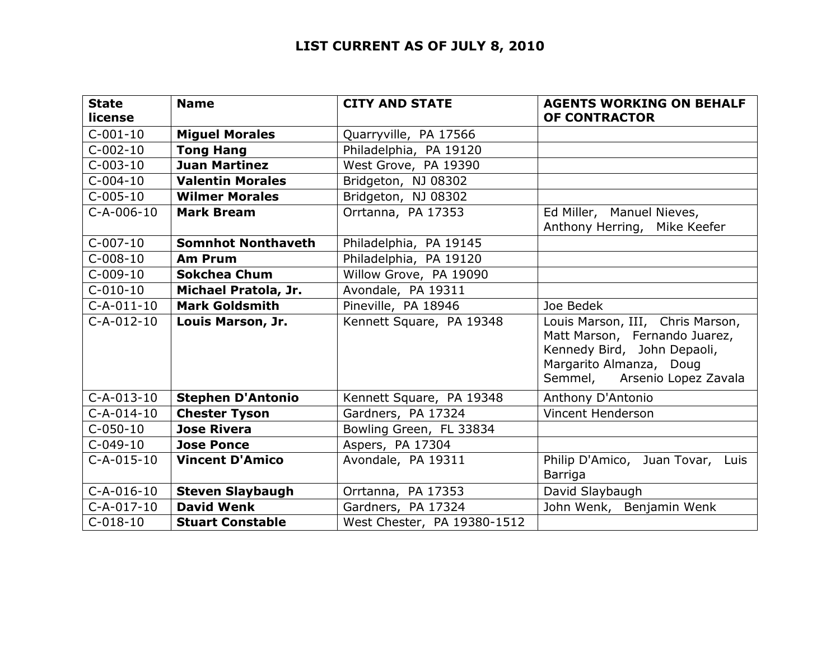## **LIST CURRENT AS OF JULY 8, 2010**

| <b>State</b><br>license | <b>Name</b>               | <b>CITY AND STATE</b>       | <b>AGENTS WORKING ON BEHALF</b><br><b>OF CONTRACTOR</b>                                                                                                     |
|-------------------------|---------------------------|-----------------------------|-------------------------------------------------------------------------------------------------------------------------------------------------------------|
| $C-001-10$              | <b>Miguel Morales</b>     | Quarryville, PA 17566       |                                                                                                                                                             |
| $C-002-10$              | <b>Tong Hang</b>          | Philadelphia, PA 19120      |                                                                                                                                                             |
| $C-003-10$              | <b>Juan Martinez</b>      | West Grove, PA 19390        |                                                                                                                                                             |
| $C-004-10$              | <b>Valentin Morales</b>   | Bridgeton, NJ 08302         |                                                                                                                                                             |
| $C-005-10$              | <b>Wilmer Morales</b>     | Bridgeton, NJ 08302         |                                                                                                                                                             |
| $C-A-006-10$            | <b>Mark Bream</b>         | Orrtanna, PA 17353          | Ed Miller, Manuel Nieves,<br>Anthony Herring, Mike Keefer                                                                                                   |
| $C-007-10$              | <b>Somnhot Nonthaveth</b> | Philadelphia, PA 19145      |                                                                                                                                                             |
| $C-008-10$              | <b>Am Prum</b>            | Philadelphia, PA 19120      |                                                                                                                                                             |
| $C-009-10$              | <b>Sokchea Chum</b>       | Willow Grove, PA 19090      |                                                                                                                                                             |
| $C-010-10$              | Michael Pratola, Jr.      | Avondale, PA 19311          |                                                                                                                                                             |
| $C-A-011-10$            | <b>Mark Goldsmith</b>     | Pineville, PA 18946         | Joe Bedek                                                                                                                                                   |
| $C-A-012-10$            | Louis Marson, Jr.         | Kennett Square, PA 19348    | Louis Marson, III, Chris Marson,<br>Matt Marson, Fernando Juarez,<br>Kennedy Bird, John Depaoli,<br>Margarito Almanza, Doug<br>Semmel, Arsenio Lopez Zavala |
| $C-A-013-10$            | <b>Stephen D'Antonio</b>  | Kennett Square, PA 19348    | Anthony D'Antonio                                                                                                                                           |
| $C-A-014-10$            | <b>Chester Tyson</b>      | Gardners, PA 17324          | Vincent Henderson                                                                                                                                           |
| $C-050-10$              | <b>Jose Rivera</b>        | Bowling Green, FL 33834     |                                                                                                                                                             |
| $C-049-10$              | <b>Jose Ponce</b>         | Aspers, PA 17304            |                                                                                                                                                             |
| $C-A-015-10$            | <b>Vincent D'Amico</b>    | Avondale, PA 19311          | Philip D'Amico, Juan Tovar, Luis<br>Barriga                                                                                                                 |
| $C-A-016-10$            | <b>Steven Slaybaugh</b>   | Orrtanna, PA 17353          | David Slaybaugh                                                                                                                                             |
| $C-A-017-10$            | <b>David Wenk</b>         | Gardners, PA 17324          | John Wenk, Benjamin Wenk                                                                                                                                    |
| $C-018-10$              | <b>Stuart Constable</b>   | West Chester, PA 19380-1512 |                                                                                                                                                             |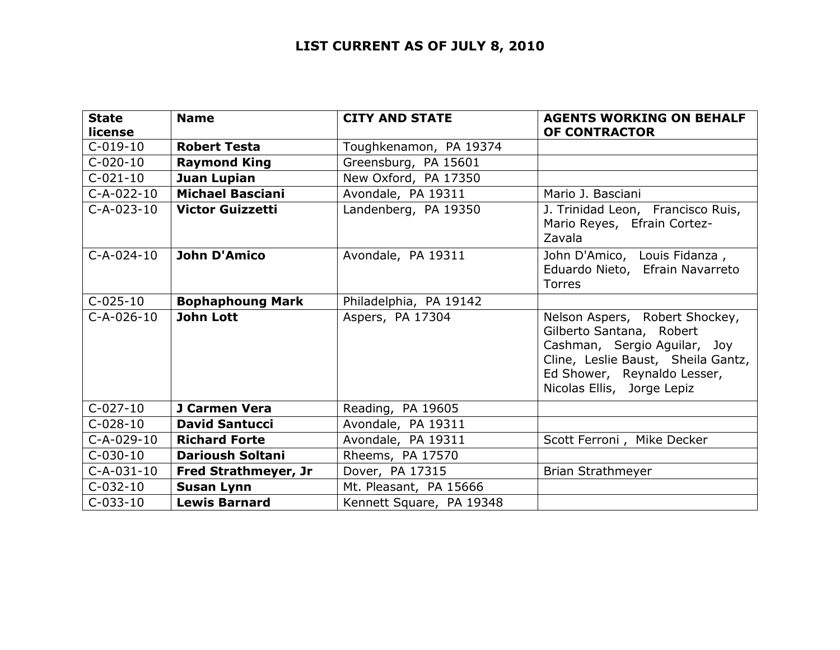## **LIST CURRENT AS OF JULY 8, 2010**

| <b>State</b><br>license | <b>Name</b>                 | <b>CITY AND STATE</b>    | <b>AGENTS WORKING ON BEHALF</b><br>OF CONTRACTOR                                                                                                                                              |
|-------------------------|-----------------------------|--------------------------|-----------------------------------------------------------------------------------------------------------------------------------------------------------------------------------------------|
| $C-019-10$              | <b>Robert Testa</b>         | Toughkenamon, PA 19374   |                                                                                                                                                                                               |
| $C-020-10$              | <b>Raymond King</b>         | Greensburg, PA 15601     |                                                                                                                                                                                               |
| $C-021-10$              | Juan Lupian                 | New Oxford, PA 17350     |                                                                                                                                                                                               |
| $C-A-022-10$            | <b>Michael Basciani</b>     | Avondale, PA 19311       | Mario J. Basciani                                                                                                                                                                             |
| $C-A-023-10$            | <b>Victor Guizzetti</b>     | Landenberg, PA 19350     | J. Trinidad Leon, Francisco Ruis,<br>Mario Reyes, Efrain Cortez-<br>Zavala                                                                                                                    |
| $C-A-024-10$            | <b>John D'Amico</b>         | Avondale, PA 19311       | John D'Amico, Louis Fidanza,<br>Eduardo Nieto, Efrain Navarreto<br><b>Torres</b>                                                                                                              |
| $C-025-10$              | <b>Bophaphoung Mark</b>     | Philadelphia, PA 19142   |                                                                                                                                                                                               |
| $C-A-026-10$            | <b>John Lott</b>            | Aspers, PA 17304         | Nelson Aspers, Robert Shockey,<br>Gilberto Santana, Robert<br>Cashman, Sergio Aguilar, Joy<br>Cline, Leslie Baust, Sheila Gantz,<br>Ed Shower, Reynaldo Lesser,<br>Nicolas Ellis, Jorge Lepiz |
| $C-027-10$              | J Carmen Vera               | Reading, PA 19605        |                                                                                                                                                                                               |
| $C-028-10$              | <b>David Santucci</b>       | Avondale, PA 19311       |                                                                                                                                                                                               |
| C-A-029-10              | <b>Richard Forte</b>        | Avondale, PA 19311       | Scott Ferroni, Mike Decker                                                                                                                                                                    |
| $C-030-10$              | <b>Darioush Soltani</b>     | Rheems, PA 17570         |                                                                                                                                                                                               |
| $C-A-031-10$            | <b>Fred Strathmeyer, Jr</b> | Dover, PA 17315          | Brian Strathmeyer                                                                                                                                                                             |
| $C-032-10$              | <b>Susan Lynn</b>           | Mt. Pleasant, PA 15666   |                                                                                                                                                                                               |
| $C-033-10$              | <b>Lewis Barnard</b>        | Kennett Square, PA 19348 |                                                                                                                                                                                               |